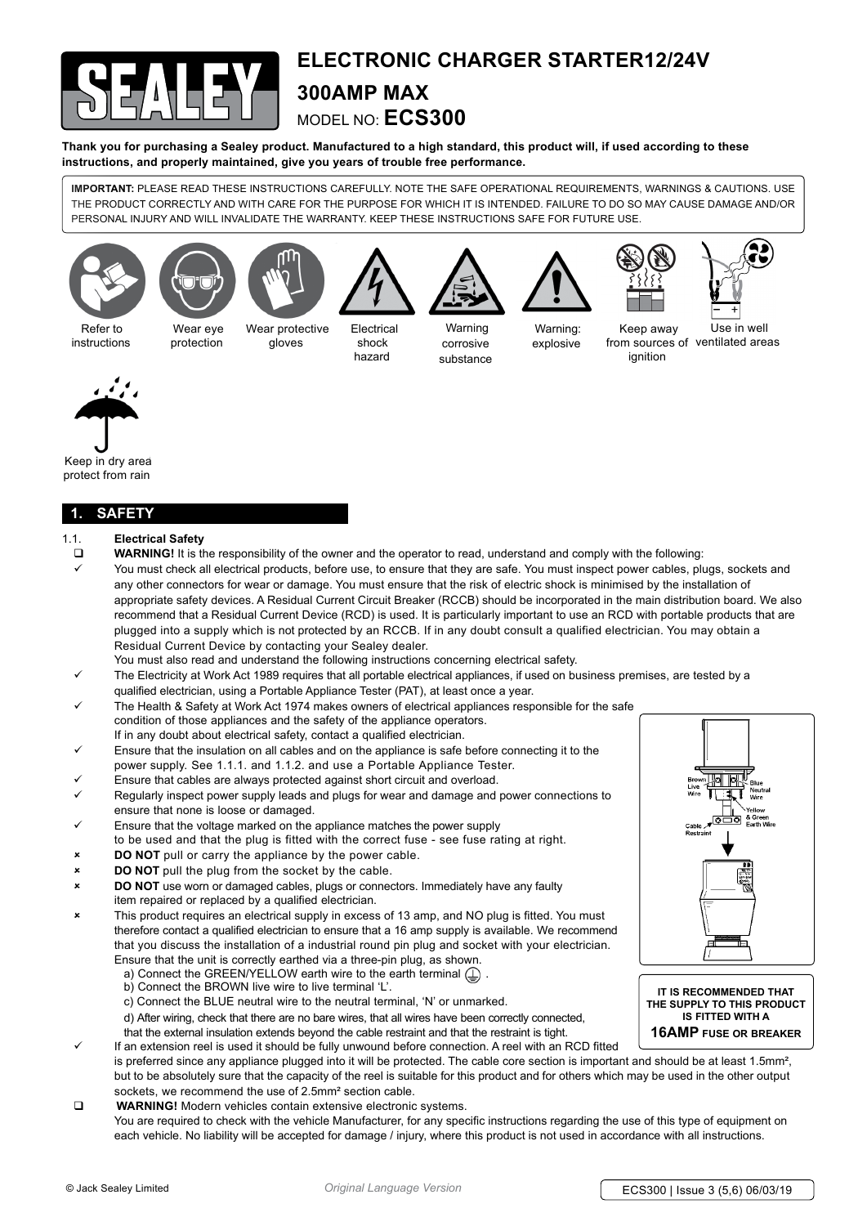

# **Electronic charger starter12/24V 300Amp Max**  model no: **ECS300**

**Thank you for purchasing a Sealey product. Manufactured to a high standard, this product will, if used according to these instructions, and properly maintained, give you years of trouble free performance.**

**IMPORTANT:** PLEASE READ THESE INSTRUCTIONS CAREFULLY. NOTE THE SAFE OPERATIONAL REQUIREMENTS, WARNINGS & CAUTIONS. USE THE PRODUCT CORRECTLY AND WITH CARE FOR THE PURPOSE FOR WHICH IT IS INTENDED. FAILURE TO DO SO MAY CAUSE DAMAGE AND/OR PERSONAL INJURY AND WILL INVALIDATE THE WARRANTY. KEEP THESE INSTRUCTIONS SAFE FOR FUTURE USE.

















 Refer to instructions

Wear eye protection Wear protective gloves

 Electrical shock hazard

 Warning corrosive substance

Warning: explosive

Keep away from sources of ventilated areas ignition Use in well



Keep in dry area protect from rain

## **1. safety**

- 1.1. **Electrical Safety**
- **WARNING!** It is the responsibility of the owner and the operator to read, understand and comply with the following:
- You must check all electrical products, before use, to ensure that they are safe. You must inspect power cables, plugs, sockets and any other connectors for wear or damage. You must ensure that the risk of electric shock is minimised by the installation of appropriate safety devices. A Residual Current Circuit Breaker (RCCB) should be incorporated in the main distribution board. We also recommend that a Residual Current Device (RCD) is used. It is particularly important to use an RCD with portable products that are plugged into a supply which is not protected by an RCCB. If in any doubt consult a qualified electrician. You may obtain a Residual Current Device by contacting your Sealey dealer.
- You must also read and understand the following instructions concerning electrical safety.
- The Electricity at Work Act 1989 requires that all portable electrical appliances, if used on business premises, are tested by a qualified electrician, using a Portable Appliance Tester (PAT), at least once a year.
- The Health & Safety at Work Act 1974 makes owners of electrical appliances responsible for the safe condition of those appliances and the safety of the appliance operators. If in any doubt about electrical safety, contact a qualified electrician.
- Ensure that the insulation on all cables and on the appliance is safe before connecting it to the power supply. See 1.1.1. and 1.1.2. and use a Portable Appliance Tester.
- Ensure that cables are always protected against short circuit and overload.
- Regularly inspect power supply leads and plugs for wear and damage and power connections to ensure that none is loose or damaged.
- 9 Ensure that the voltage marked on the appliance matches the power supply to be used and that the plug is fitted with the correct fuse - see fuse rating at right.
- **DO NOT** pull or carry the appliance by the power cable.
- **DO NOT** pull the plug from the socket by the cable.
- 8 **DO NOT** use worn or damaged cables, plugs or connectors. Immediately have any faulty item repaired or replaced by a qualified electrician.
- <sup>\*</sup> This product requires an electrical supply in excess of 13 amp, and NO plug is fitted. You must therefore contact a qualified electrician to ensure that a 16 amp supply is available. We recommend that you discuss the installation of a industrial round pin plug and socket with your electrician. Ensure that the unit is correctly earthed via a three-pin plug, as shown.
	- a) Connect the GREEN/YELLOW earth wire to the earth terminal  $\textcircled{1}$ .
	- b) Connect the BROWN live wire to live terminal 'L'.
	- c) Connect the BLUE neutral wire to the neutral terminal, 'N' or unmarked.

d) After wiring, check that there are no bare wires, that all wires have been correctly connected,

that the external insulation extends beyond the cable restraint and that the restraint is tight.

- If an extension reel is used it should be fully unwound before connection. A reel with an RCD fitted is preferred since any appliance plugged into it will be protected. The cable core section is important and should be at least 1.5mm<sup>2</sup>, but to be absolutely sure that the capacity of the reel is suitable for this product and for others which may be used in the other output sockets, we recommend the use of 2.5mm² section cable.
- **WARNING!** Modern vehicles contain extensive electronic systems. You are required to check with the vehicle Manufacturer, for any specific instructions regarding the use of this type of equipment on each vehicle. No liability will be accepted for damage / injury, where this product is not used in accordance with all instructions.



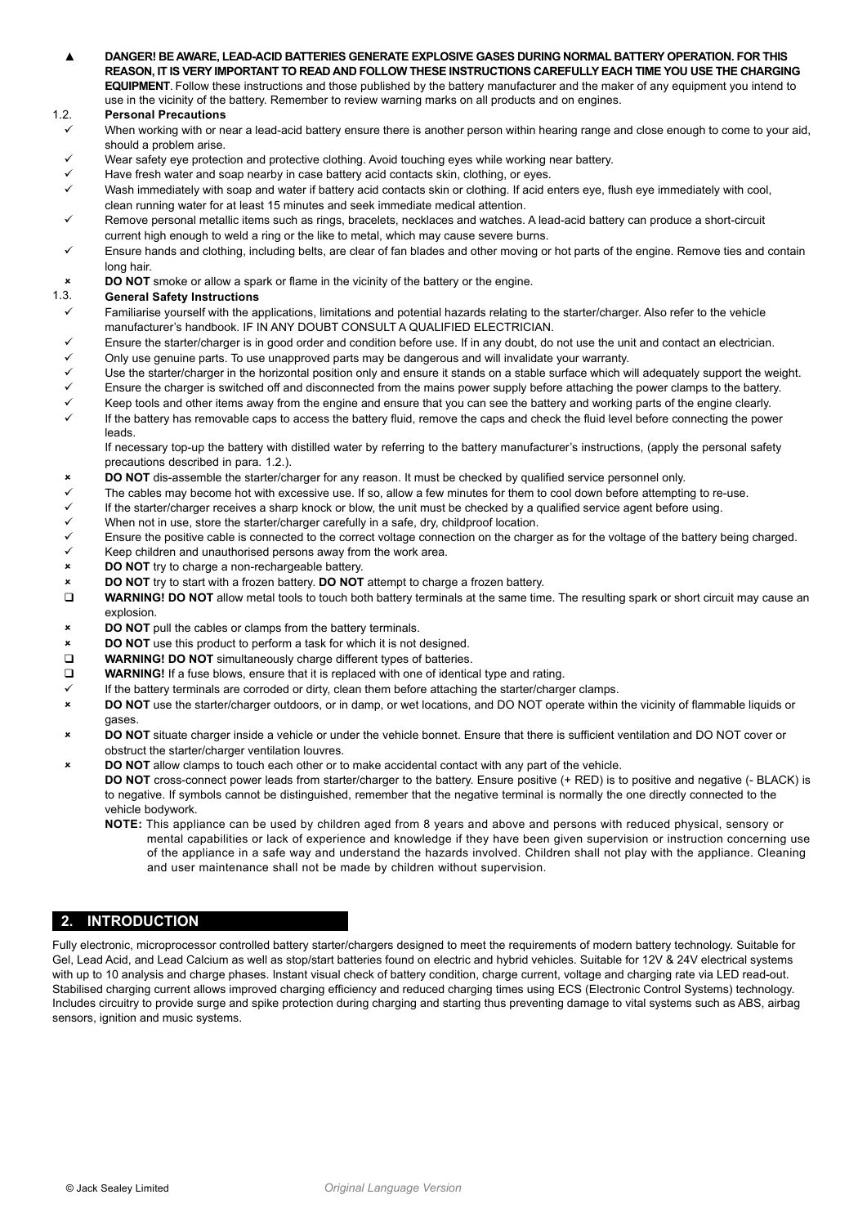▲ **DANGER! BE AWARE, LEAD-ACID BATTERIES GENERATE EXPLOSIVE GASES DURING NORMAL BATTERY OPERATION. FOR THIS REASON, IT IS VERY IMPORTANT TO READ AND FOLLOW THESE INSTRUCTIONS CAREFULLY EACH TIME YOU USE THE CHARGING EQUIPMENT**. Follow these instructions and those published by the battery manufacturer and the maker of any equipment you intend to use in the vicinity of the battery. Remember to review warning marks on all products and on engines.

## 1.2. **Personal Precautions**

- When working with or near a lead-acid battery ensure there is another person within hearing range and close enough to come to your aid, should a problem arise.
- Wear safety eye protection and protective clothing. Avoid touching eyes while working near battery.
- Have fresh water and soap nearby in case battery acid contacts skin, clothing, or eyes.
- 9 Wash immediately with soap and water if battery acid contacts skin or clothing. If acid enters eye, flush eye immediately with cool, clean running water for at least 15 minutes and seek immediate medical attention.
- Remove personal metallic items such as rings, bracelets, necklaces and watches. A lead-acid battery can produce a short-circuit current high enough to weld a ring or the like to metal, which may cause severe burns.
- 9 Ensure hands and clothing, including belts, are clear of fan blades and other moving or hot parts of the engine. Remove ties and contain long hair.
- **8 <b>DO** NOT smoke or allow a spark or flame in the vicinity of the battery or the engine.<br>1.3. **General Safety Instructions**

## 1.3. **General Safety Instructions**

- $\checkmark$  Familiarise yourself with the applications, limitations and potential hazards relating to the starter/charger. Also refer to the vehicle manufacturer's handbook. IF IN ANY DOUBT CONSULT A QUALIFIED ELECTRICIAN.
- $\checkmark$  Ensure the starter/charger is in good order and condition before use. If in any doubt, do not use the unit and contact an electrician.
- $\checkmark$  Only use genuine parts. To use unapproved parts may be dangerous and will invalidate your warranty.
- Use the starter/charger in the horizontal position only and ensure it stands on a stable surface which will adequately support the weight.
- Ensure the charger is switched off and disconnected from the mains power supply before attaching the power clamps to the battery.
- $\checkmark$  Keep tools and other items away from the engine and ensure that you can see the battery and working parts of the engine clearly.
- If the battery has removable caps to access the battery fluid, remove the caps and check the fluid level before connecting the power leads.

 If necessary top-up the battery with distilled water by referring to the battery manufacturer's instructions, (apply the personal safety precautions described in para. 1.2.).

- 8 **DO NOT** dis-assemble the starter/charger for any reason. It must be checked by qualified service personnel only.
- The cables may become hot with excessive use. If so, allow a few minutes for them to cool down before attempting to re-use.
- If the starter/charger receives a sharp knock or blow, the unit must be checked by a qualified service agent before using.
- $\checkmark$  When not in use, store the starter/charger carefully in a safe, dry, childproof location.<br> $\checkmark$  Ensure the positive cable is connected to the correct voltage connection on the charge
- $\checkmark$  Ensure the positive cable is connected to the correct voltage connection on the charger as for the voltage of the battery being charged.<br> $\checkmark$  Reep children and unauthorised persons away from the work area
- Keep children and unauthorised persons away from the work area.
- 8 **DO NOT** try to charge a non-rechargeable battery.
- **8 <b>DO** NOT try to start with a frozen battery. **DO** NOT attempt to charge a frozen battery. **□ WARNING! DO NOT** allow metal tools to touch both battery terminals at the same tim
- **WARNING! DO NOT** allow metal tools to touch both battery terminals at the same time. The resulting spark or short circuit may cause an explosion.
- 8 **DO NOT** pull the cables or clamps from the battery terminals.
- **8 <b>DO** NOT use this product to perform a task for which it is not designed. □<br>■ WARNING! DO NOT simultaneously charge different types of batteries
- **WARNING! DO NOT** simultaneously charge different types of batteries.
- **WARNING!** If a fuse blows, ensure that it is replaced with one of identical type and rating.
- If the battery terminals are corroded or dirty, clean them before attaching the starter/charger clamps.
- 8 **DO NOT** use the starter/charger outdoors, or in damp, or wet locations, and DO NOT operate within the vicinity of flammable liquids or gases.
- 8 **DO NOT** situate charger inside a vehicle or under the vehicle bonnet. Ensure that there is sufficient ventilation and DO NOT cover or obstruct the starter/charger ventilation louvres.
- **DO NOT** allow clamps to touch each other or to make accidental contact with any part of the vehicle.
	- **DO NOT** cross-connect power leads from starter/charger to the battery. Ensure positive (+ RED) is to positive and negative (- BLACK) is to negative. If symbols cannot be distinguished, remember that the negative terminal is normally the one directly connected to the vehicle bodywork.
		- **NOTE:** This appliance can be used by children aged from 8 years and above and persons with reduced physical, sensory or mental capabilities or lack of experience and knowledge if they have been given supervision or instruction concerning use of the appliance in a safe way and understand the hazards involved. Children shall not play with the appliance. Cleaning and user maintenance shall not be made by children without supervision.

## **2. introduction**

Fully electronic, microprocessor controlled battery starter/chargers designed to meet the requirements of modern battery technology. Suitable for Gel, Lead Acid, and Lead Calcium as well as stop/start batteries found on electric and hybrid vehicles. Suitable for 12V & 24V electrical systems with up to 10 analysis and charge phases. Instant visual check of battery condition, charge current, voltage and charging rate via LED read-out. Stabilised charging current allows improved charging efficiency and reduced charging times using ECS (Electronic Control Systems) technology. Includes circuitry to provide surge and spike protection during charging and starting thus preventing damage to vital systems such as ABS, airbag sensors, ignition and music systems.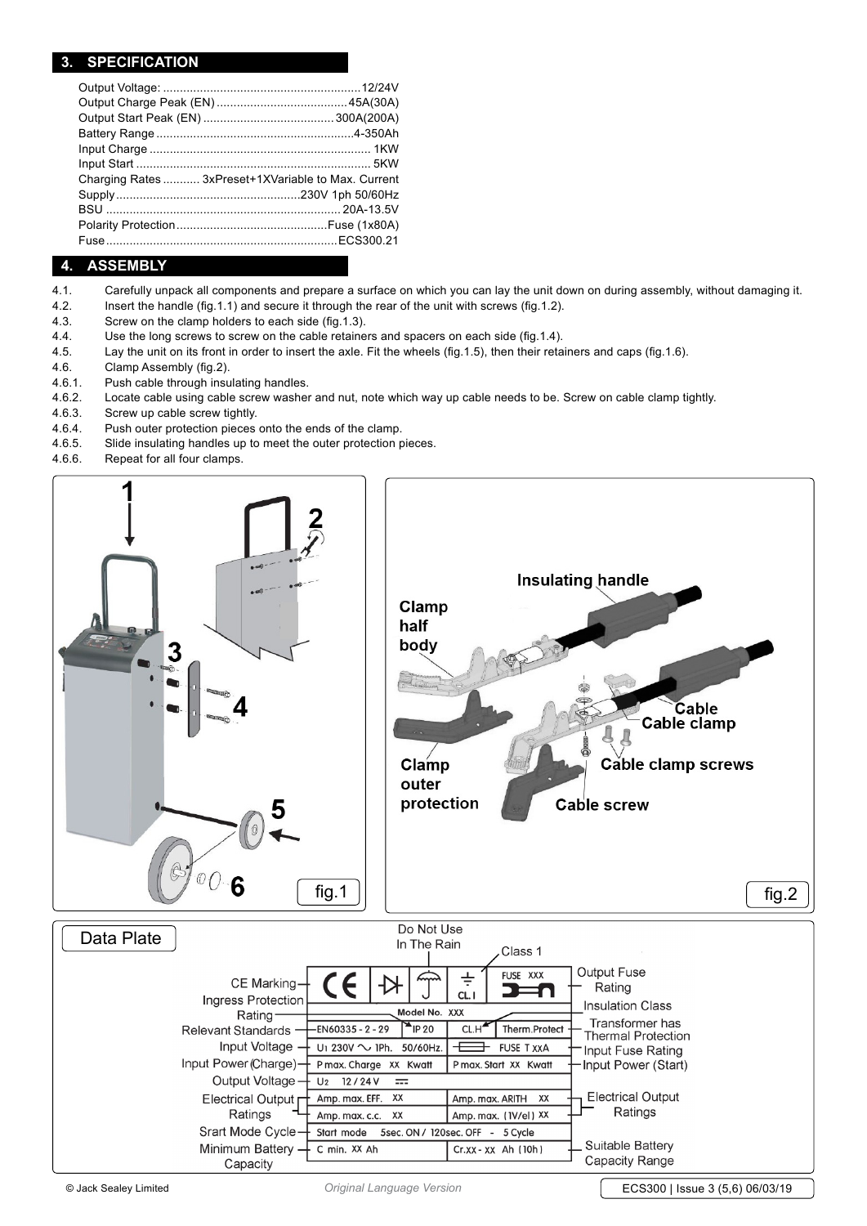## **3. specification**

| Charging Rates  3xPreset+1XVariable to Max. Current |
|-----------------------------------------------------|
|                                                     |
|                                                     |
|                                                     |
|                                                     |

## **4. Assembly**

- 4.1. Carefully unpack all components and prepare a surface on which you can lay the unit down on during assembly, without damaging it.
- 4.2. Insert the handle (fig.1.1) and secure it through the rear of the unit with screws (fig.1.2).
- 4.3. Screw on the clamp holders to each side (fig.1.3).
- 4.4. Use the long screws to screw on the cable retainers and spacers on each side (fig.1.4).
- 4.5. Lay the unit on its front in order to insert the axle. Fit the wheels (fig.1.5), then their retainers and caps (fig.1.6).
- 4.6. Clamp Assembly (fig.2).
- 4.6.1. Push cable through insulating handles.
- 4.6.2. Locate cable using cable screw washer and nut, note which way up cable needs to be. Screw on cable clamp tightly.
- 4.6.3. Screw up cable screw tightly.
- 4.6.4. Push outer protection pieces onto the ends of the clamp.
- 4.6.5. Slide insulating handles up to meet the outer protection pieces.
- 4.6.6. Repeat for all four clamps.

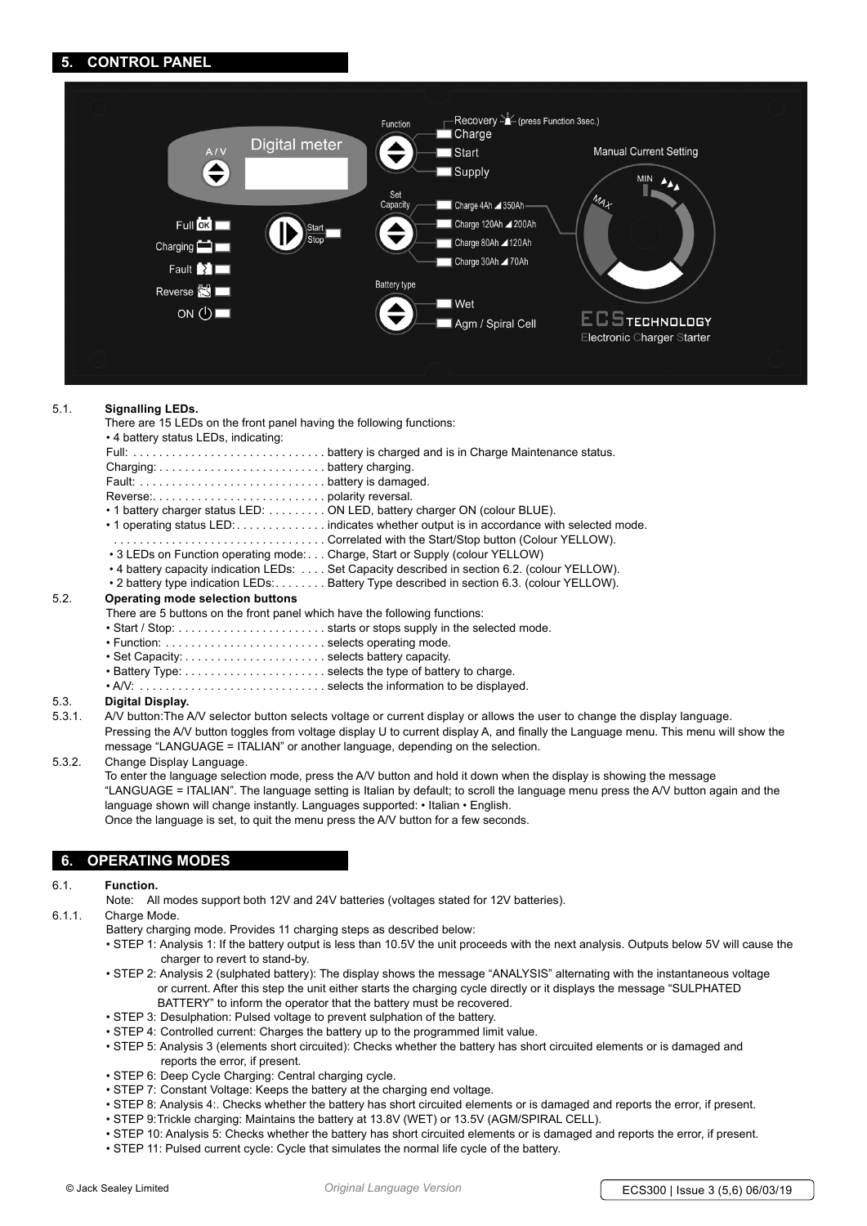## **5. control panel**



#### 5.1. **Signalling LEDs.**

There are 15 LEDs on the front panel having the following functions:

|      | • 4 battery status LEDs, indicating:                                        |                                                                                               |
|------|-----------------------------------------------------------------------------|-----------------------------------------------------------------------------------------------|
|      |                                                                             |                                                                                               |
|      |                                                                             |                                                                                               |
|      |                                                                             |                                                                                               |
|      |                                                                             |                                                                                               |
|      |                                                                             | • 1 battery charger status LED: ON LED, battery charger ON (colour BLUE).                     |
|      |                                                                             | • 1 operating status LED: indicates whether output is in accordance with selected mode.       |
|      |                                                                             | • 3 LEDs on Function operating mode: Charge, Start or Supply (colour YELLOW)                  |
|      |                                                                             | • 4 battery capacity indication LEDs: Set Capacity described in section 6.2. (colour YELLOW). |
|      |                                                                             | • 2 battery type indication LEDs: Battery Type described in section 6.3. (colour YELLOW).     |
| 5.2. | Operating mode selection buttons                                            |                                                                                               |
|      | There are E buttone on the front nonel which house the following functional |                                                                                               |

There are 5 buttons on the front panel which have the following functions:

- Start / Stop: . . starts or stops supply in the selected mode.
- Function: . . selects operating mode.
- Set Capacity: . . selects battery capacity.
- Battery Type: . . selects the type of battery to charge.
- A/V: . . selects the information to be displayed.

# 5.3. **Digital Display.**

A/V button:The A/V selector button selects voltage or current display or allows the user to change the display language. Pressing the A/V button toggles from voltage display U to current display A, and finally the Language menu. This menu will show the message "LANGUAGE = ITALIAN" or another language, depending on the selection.

#### 5.3.2. Change Display Language.

 To enter the language selection mode, press the A/V button and hold it down when the display is showing the message "LANGUAGE = ITALIAN". The language setting is Italian by default; to scroll the language menu press the A/V button again and the language shown will change instantly. Languages supported: • Italian • English. Once the language is set, to quit the menu press the A/V button for a few seconds.

## **6. operating modes**

#### 6.1. **Function.**

Note: All modes support both 12V and 24V batteries (voltages stated for 12V batteries).

6.1.1. Charge Mode.

- Battery charging mode. Provides 11 charging steps as described below:
- STEP 1: Analysis 1: If the battery output is less than 10.5V the unit proceeds with the next analysis. Outputs below 5V will cause the charger to revert to stand-by.
- STEP 2: Analysis 2 (sulphated battery): The display shows the message "ANALYSIS" alternating with the instantaneous voltage or current. After this step the unit either starts the charging cycle directly or it displays the message "SULPHATED BATTERY" to inform the operator that the battery must be recovered.
- STEP 3: Desulphation: Pulsed voltage to prevent sulphation of the battery.
- STEP 4: Controlled current: Charges the battery up to the programmed limit value.
- STEP 5: Analysis 3 (elements short circuited): Checks whether the battery has short circuited elements or is damaged and reports the error, if present.
- STEP 6: Deep Cycle Charging: Central charging cycle.
- STEP 7: Constant Voltage: Keeps the battery at the charging end voltage.
- STEP 8: Analysis 4:. Checks whether the battery has short circuited elements or is damaged and reports the error, if present.
- STEP 9: Trickle charging: Maintains the battery at 13.8V (WET) or 13.5V (AGM/SPIRAL CELL).
- STEP 10: Analysis 5: Checks whether the battery has short circuited elements or is damaged and reports the error, if present.
- STEP 11: Pulsed current cycle: Cycle that simulates the normal life cycle of the battery.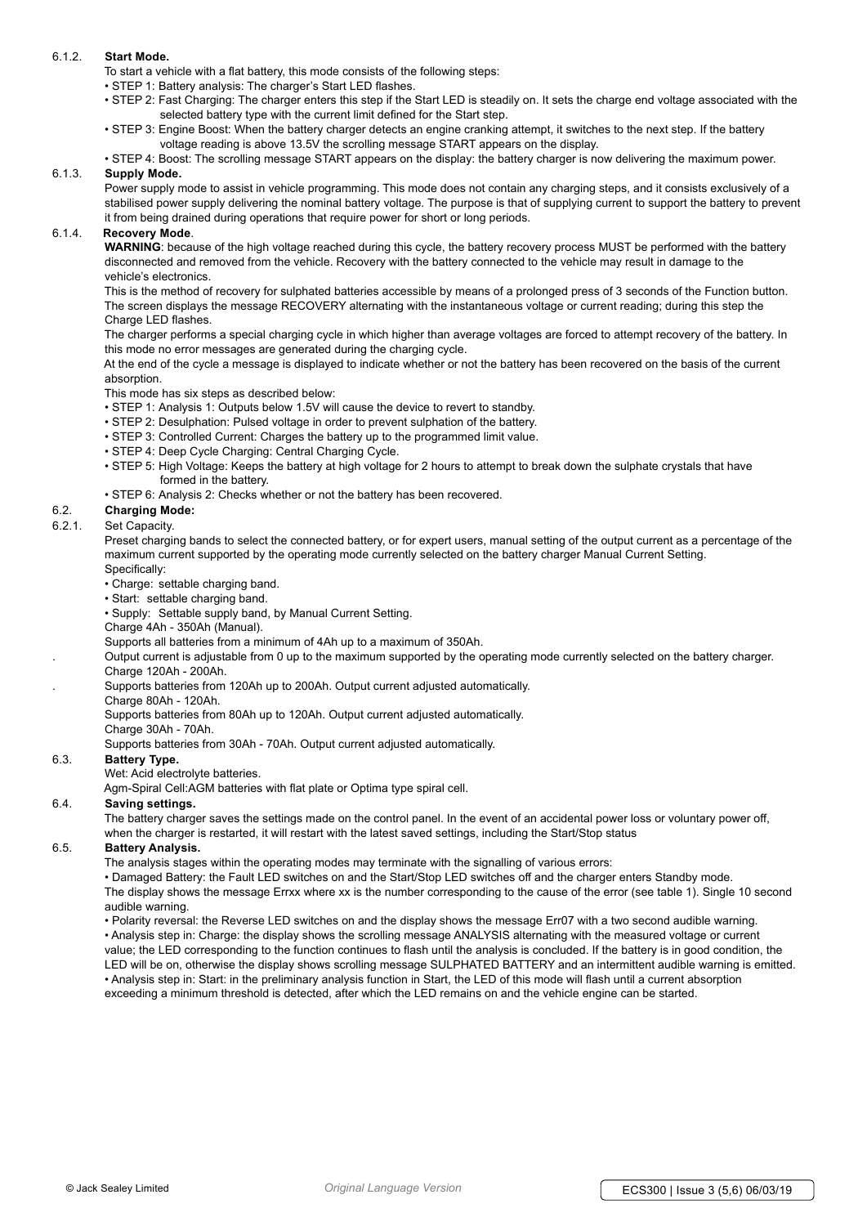## 6.1.2. **Start Mode.**

- To start a vehicle with a flat battery, this mode consists of the following steps:
- STEP 1: Battery analysis: The charger's Start LED flashes.
- STEP 2: Fast Charging: The charger enters this step if the Start LED is steadily on. It sets the charge end voltage associated with the selected battery type with the current limit defined for the Start step.
- STEP 3: Engine Boost: When the battery charger detects an engine cranking attempt, it switches to the next step. If the battery voltage reading is above 13.5V the scrolling message START appears on the display.
- STEP 4: Boost: The scrolling message START appears on the display: the battery charger is now delivering the maximum power.

#### 6.1.3. **Supply Mode.**

Power supply mode to assist in vehicle programming. This mode does not contain any charging steps, and it consists exclusively of a stabilised power supply delivering the nominal battery voltage. The purpose is that of supplying current to support the battery to prevent it from being drained during operations that require power for short or long periods.

## 6.1.4. **Recovery Mode**.

 **WARNING**: because of the high voltage reached during this cycle, the battery recovery process MUST be performed with the battery disconnected and removed from the vehicle. Recovery with the battery connected to the vehicle may result in damage to the vehicle's electronics.

 This is the method of recovery for sulphated batteries accessible by means of a prolonged press of 3 seconds of the Function button. The screen displays the message RECOVERY alternating with the instantaneous voltage or current reading; during this step the Charge LED flashes.

 The charger performs a special charging cycle in which higher than average voltages are forced to attempt recovery of the battery. In this mode no error messages are generated during the charging cycle.

 At the end of the cycle a message is displayed to indicate whether or not the battery has been recovered on the basis of the current absorption.

This mode has six steps as described below:

- STEP 1: Analysis 1: Outputs below 1.5V will cause the device to revert to standby.
- STEP 2: Desulphation: Pulsed voltage in order to prevent sulphation of the battery.
- STEP 3: Controlled Current: Charges the battery up to the programmed limit value.
- STEP 4: Deep Cycle Charging: Central Charging Cycle.
- STEP 5: High Voltage: Keeps the battery at high voltage for 2 hours to attempt to break down the sulphate crystals that have formed in the battery.
- STEP 6: Analysis 2: Checks whether or not the battery has been recovered.
- 6.2. **Charging Mode:**

### 6.2.1. Set Capacity.

 Preset charging bands to select the connected battery, or for expert users, manual setting of the output current as a percentage of the maximum current supported by the operating mode currently selected on the battery charger Manual Current Setting. Specifically:

- 
- Charge: settable charging band.
- Start: settable charging band.
- Supply: Settable supply band, by Manual Current Setting.
- Charge 4Ah 350Ah (Manual).
- Supports all batteries from a minimum of 4Ah up to a maximum of 350Ah.
- . Output current is adjustable from 0 up to the maximum supported by the operating mode currently selected on the battery charger.
- Charge 120Ah 200Ah.
	- . Supports batteries from 120Ah up to 200Ah. Output current adjusted automatically.
	- Charge 80Ah 120Ah.

Supports batteries from 80Ah up to 120Ah. Output current adjusted automatically.

Charge 30Ah - 70Ah.

Supports batteries from 30Ah - 70Ah. Output current adjusted automatically.

### 6.3. **Battery Type.**

Wet: Acid electrolyte batteries.

Agm-Spiral Cell:AGM batteries with flat plate or Optima type spiral cell.

#### 6.4. **Saving settings.**

 The battery charger saves the settings made on the control panel. In the event of an accidental power loss or voluntary power off, when the charger is restarted, it will restart with the latest saved settings, including the Start/Stop status

#### 6.5. **Battery Analysis.**

The analysis stages within the operating modes may terminate with the signalling of various errors:

 • Damaged Battery: the Fault LED switches on and the Start/Stop LED switches off and the charger enters Standby mode. The display shows the message Errxx where xx is the number corresponding to the cause of the error (see table 1). Single 10 second audible warning.

• Polarity reversal: the Reverse LED switches on and the display shows the message Err07 with a two second audible warning.

 • Analysis step in: Charge: the display shows the scrolling message ANALYSIS alternating with the measured voltage or current value; the LED corresponding to the function continues to flash until the analysis is concluded. If the battery is in good condition, the LED will be on, otherwise the display shows scrolling message SULPHATED BATTERY and an intermittent audible warning is emitted. • Analysis step in: Start: in the preliminary analysis function in Start, the LED of this mode will flash until a current absorption exceeding a minimum threshold is detected, after which the LED remains on and the vehicle engine can be started.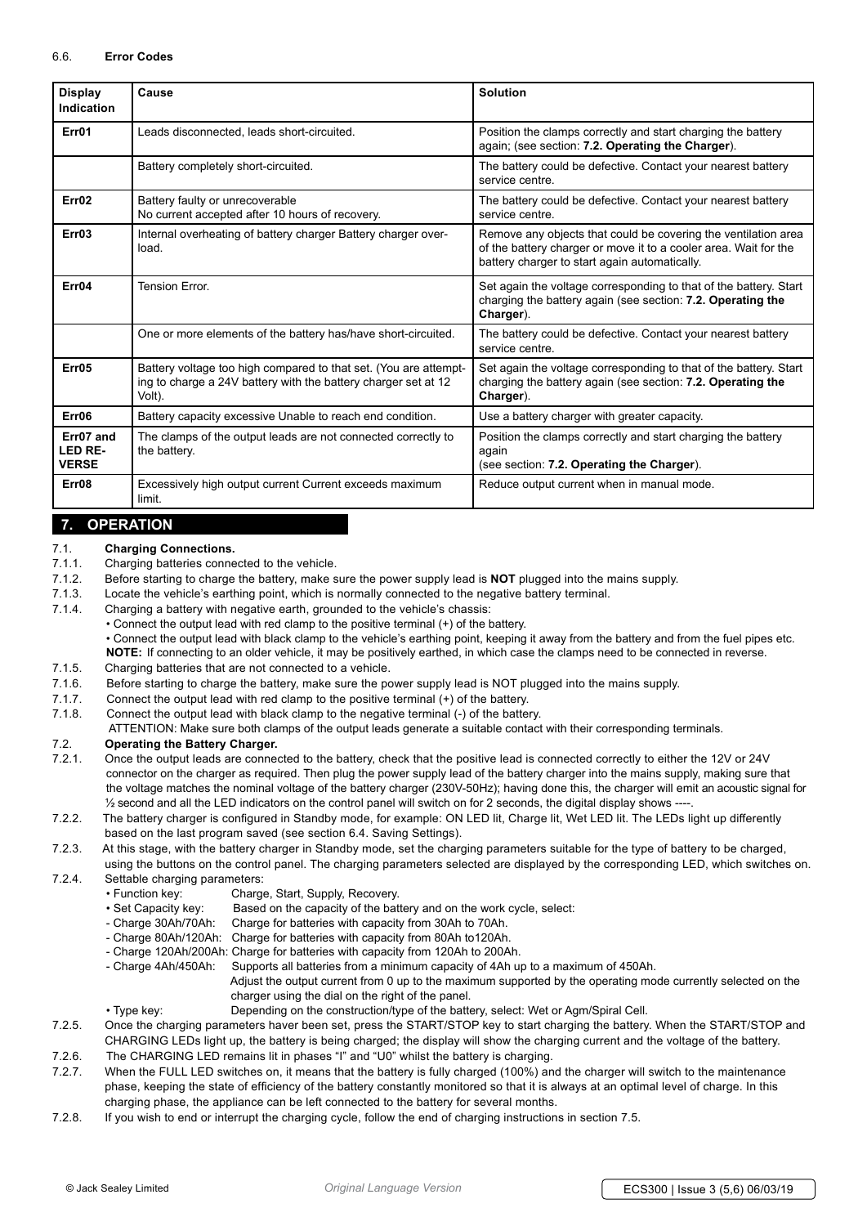| <b>Display</b><br><b>Indication</b>  | Cause                                                                                                                                        | <b>Solution</b>                                                                                                                                                                     |
|--------------------------------------|----------------------------------------------------------------------------------------------------------------------------------------------|-------------------------------------------------------------------------------------------------------------------------------------------------------------------------------------|
| Err01                                | Leads disconnected, leads short-circuited.                                                                                                   | Position the clamps correctly and start charging the battery<br>again; (see section: 7.2. Operating the Charger).                                                                   |
|                                      | Battery completely short-circuited.                                                                                                          | The battery could be defective. Contact your nearest battery<br>service centre.                                                                                                     |
| Err <sub>02</sub>                    | Battery faulty or unrecoverable<br>No current accepted after 10 hours of recovery.                                                           | The battery could be defective. Contact your nearest battery<br>service centre.                                                                                                     |
| Err03                                | Internal overheating of battery charger Battery charger over-<br>load.                                                                       | Remove any objects that could be covering the ventilation area<br>of the battery charger or move it to a cooler area. Wait for the<br>battery charger to start again automatically. |
| Err04                                | <b>Tension Frror</b>                                                                                                                         | Set again the voltage corresponding to that of the battery. Start<br>charging the battery again (see section: 7.2. Operating the<br>Charger).                                       |
|                                      | One or more elements of the battery has/have short-circuited.                                                                                | The battery could be defective. Contact your nearest battery<br>service centre.                                                                                                     |
| Err05                                | Battery voltage too high compared to that set. (You are attempt-<br>ing to charge a 24V battery with the battery charger set at 12<br>Volt). | Set again the voltage corresponding to that of the battery. Start<br>charging the battery again (see section: 7.2. Operating the<br>Charger).                                       |
| Err06                                | Battery capacity excessive Unable to reach end condition.                                                                                    | Use a battery charger with greater capacity.                                                                                                                                        |
| Err07 and<br>LED RE-<br><b>VERSE</b> | The clamps of the output leads are not connected correctly to<br>the battery.                                                                | Position the clamps correctly and start charging the battery<br>again<br>(see section: 7.2. Operating the Charger).                                                                 |
| Err08                                | Excessively high output current Current exceeds maximum<br>limit.                                                                            | Reduce output current when in manual mode.                                                                                                                                          |

## **7. operation**

# 7.1. **Charging Connections.**

- Charging batteries connected to the vehicle.
- 7.1.2. Before starting to charge the battery, make sure the power supply lead is **NOT** plugged into the mains supply.
- 7.1.3. Locate the vehicle's earthing point, which is normally connected to the negative battery terminal.
- 7.1.4. Charging a battery with negative earth, grounded to the vehicle's chassis:
	- Connect the output lead with red clamp to the positive terminal (+) of the battery.

 • Connect the output lead with black clamp to the vehicle's earthing point, keeping it away from the battery and from the fuel pipes etc. **NOTE:** If connecting to an older vehicle, it may be positively earthed, in which case the clamps need to be connected in reverse.

- 7.1.5. Charging batteries that are not connected to a vehicle.
- 7.1.6. Before starting to charge the battery, make sure the power supply lead is NOT plugged into the mains supply.
- 7.1.7. Connect the output lead with red clamp to the positive terminal (+) of the battery.
- 7.1.8. Connect the output lead with black clamp to the negative terminal (-) of the battery.

ATTENTION: Make sure both clamps of the output leads generate a suitable contact with their corresponding terminals.

## 7.2. **Operating the Battery Charger.**

7.2.1. Once the output leads are connected to the battery, check that the positive lead is connected correctly to either the 12V or 24V connector on the charger as required. Then plug the power supply lead of the battery charger into the mains supply, making sure that the voltage matches the nominal voltage of the battery charger (230V-50Hz); having done this, the charger will emit an acoustic signal for ½ second and all the LED indicators on the control panel will switch on for 2 seconds, the digital display shows ----.

7.2.2. The battery charger is configured in Standby mode, for example: ON LED lit, Charge lit, Wet LED lit. The LEDs light up differently based on the last program saved (see section 6.4. Saving Settings).

7.2.3. At this stage, with the battery charger in Standby mode, set the charging parameters suitable for the type of battery to be charged, using the buttons on the control panel. The charging parameters selected are displayed by the corresponding LED, which switches on.

- 7.2.4. Settable charging parameters:
	- Function key: Charge, Start, Supply, Recovery.
	- Set Capacity key: Based on the capacity of the battery and on the work cycle, select:
	- Charge 30Ah/70Ah: Charge for batteries with capacity from 30Ah to 70Ah.
	- Charge 80Ah/120Ah: Charge for batteries with capacity from 80Ah to120Ah.
	- Charge 120Ah/200Ah: Charge for batteries with capacity from 120Ah to 200Ah.
	- Charge 4Ah/450Ah: Supports all batteries from a minimum capacity of 4Ah up to a maximum of 450Ah.

 Adjust the output current from 0 up to the maximum supported by the operating mode currently selected on the charger using the dial on the right of the panel.

- Type key: Depending on the construction/type of the battery, select: Wet or Agm/Spiral Cell.
- 7.2.5. Once the charging parameters haver been set, press the START/STOP key to start charging the battery. When the START/STOP and CHARGING LEDs light up, the battery is being charged; the display will show the charging current and the voltage of the battery.
- 7.2.6. The CHARGING LED remains lit in phases "I" and "U0" whilst the battery is charging.
- 7.2.7. When the FULL LED switches on, it means that the battery is fully charged (100%) and the charger will switch to the maintenance phase, keeping the state of efficiency of the battery constantly monitored so that it is always at an optimal level of charge. In this charging phase, the appliance can be left connected to the battery for several months.
- 7.2.8. If you wish to end or interrupt the charging cycle, follow the end of charging instructions in section 7.5.